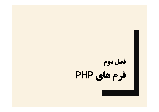# **فصل دوم فرم هاي PHP**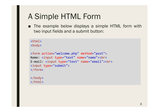■ The example below displays a simple HTML form with two input fields and a submit button:

<html> <body>

```
<form action="welcome.php" method="post">
Name: <input type="text" name="name"><br>
E-mail: <input type="text" name="email"><br>
<input type="submit">
</form>
```
</body> </html>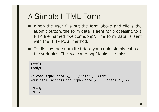- When the user fills out the form above and clicks the submit button, the form data is sent for processing to a PHP file named "welcome.php". The form data is sent with the HTTP POST method.
- To display the submitted data you could simply echo all the variables. The "welcome.php" looks like this:

```
\langlehtml\rangle<body>
Welcome <?php echo $ POST["name"]; ?><br>
Your email address is: <?php echo $_POST["email"]; ?>
</body>
</html>
```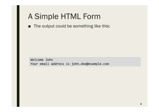■ The output could be something like this:

Welcome John Your email address is john.doe@example.com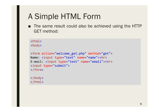■ The same result could also be achieved using the HTTP GET method:

<html> <body>

```
<form action="welcome_get.php" method="get">
Name: <input type="text" name="name"><br>
E-mail: <input type="text" name="email"><br>
<input type="submit">
</form>
```
</body> </html>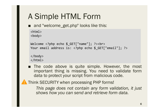■ and "welcome\_get.php" looks like this:

```
<html>
<body>
Welcome <?php echo $_GET["name"]; ?><br>
Your email address is: <?php echo $ GET["email"]; ?>
```
</body> </html>

■ The code above is quite simple. However, the most important thing is missing. You need to validate form data to protect your script from malicious code.



Think SECURITY when processing PHP forms!

*This page does not contain any form validation, it just shows how you can send and retrieve form data.*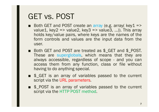# GET vs. POST

- Both GET and POST create an array (e.g. array( key1 => value1, key2 => value2, key3 => value3, ...)). This array holds key/value pairs, where keys are the names of the form controls and values are the input data from the user.
- Both GET and POST are treated as \$\_GET and \$\_POST. These are superglobals, which means that they are always accessible, regardless of scope - and you can access them from any function, class or file without having to do anything special.
- \$ GET is an array of variables passed to the current script via the URL parameters.
- \$\_POST is an array of variables passed to the current script via the HTTP POST method.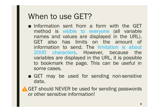# When to use GET?

- Information sent from a form with the GET method is visible to everyone (all variable names and values are displayed in the URL). GET also has limits on the amount of information to send. The limitation is about 2000 characters. However, because the variables are displayed in the URL, it is possible to bookmark the page. This can be useful in some cases.
- GET may be used for sending non-sensitive data.

A GET should NEVER be used for sending passwords or other sensitive information!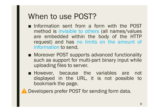# When to use POST?

- Information sent from a form with the POST method is invisible to others (all names/values are embedded within the body of the HTTP request) and has no limits on the amount of information to send.
- Moreover POST supports advanced functionality such as support for multi-part binary input while uploading files to server.
- However, because the variables are not displayed in the URL, it is not possible to bookmark the page.

Developers prefer POST for sending form data.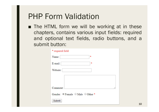■ The HTML form we will be working at in these chapters, contains various input fields: required and optional text fields, radio buttons, and a submit button:

| * required field            |  |  |
|-----------------------------|--|--|
| 寒<br>Name:                  |  |  |
| E-mail:<br>寒                |  |  |
| Website:                    |  |  |
|                             |  |  |
| Comment:                    |  |  |
| Gender: Female Male Other * |  |  |
| Submit                      |  |  |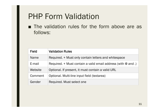■ The validation rules for the form above are as follows:

| <b>Field</b> | <b>Validation Rules</b>                                           |
|--------------|-------------------------------------------------------------------|
| <b>Name</b>  | Required. + Must only contain letters and whitespace              |
| E-mail       | Required. $+$ Must contain a valid email address (with $@$ and .) |
| Website      | Optional. If present, it must contain a valid URL                 |
| Comment      | Optional. Multi-line input field (textarea)                       |
| Gender       | Required. Must select one                                         |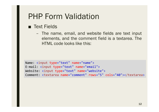#### ■ Text Fields

– The name, email, and website fields are text input elements, and the comment field is a textarea. The HTML code looks like this:

```
Name: <input type="text" name="name">
E-mail: <input type="text" name="email">
Website: <input type="text" name="website">
Comment: <textarea name="comment" rows="5" cols="40"></textarea>
```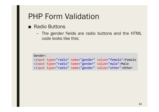#### ■ Radio Buttons

– The gender fields are radio buttons and the HTML code looks like this:

Gender:

```
<input type="radio" name="gender" value="female">Female
<input type="radio" name="gender" value="male">Male
<input type="radio" name="gender" value="other">Other
```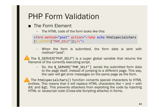#### ■ The Form Element

– The HTML code of the form looks like this:

<form method="post" action="<?php echo htmlspecialchars (\$\_SERVER["PHP\_SELF"]);?>">

– When the form is submitted, the form data is sent with method="post".

The \$ SERVER["PHP\_SELF"] is a super global variable that returns the filename of the currently executing script.

- So, the \$ SERVER["PHP\_SELF"] sends the submitted form data to the page itself, instead of jumping to a different page. This way, the user will get error messages on the same page as the form.

The htmlspecialchars() function converts special characters to HTML entities. This means that it will replace HTML characters like < and > with &It; and >. This prevents attackers from exploiting the code by injecting HTML or Javascript code (Cross-site Scripting attacks) in forms.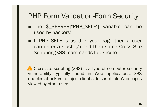### PHP Form Validation-Form Security

- The \$\_SERVER["PHP\_SELF"] variable can be used by hackers!
- If PHP SELF is used in your page then a user can enter a slash (/) and then some Cross Site Scripting (XSS) commands to execute.

**A** Cross-site scripting (XSS) is a type of computer security vulnerability typically found in Web applications. XSS enables attackers to inject client-side script into Web pages viewed by other users.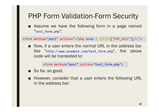### PHP Form Validation-Form Security

■ Assume we have the following form in a page named "test form.php":

<form method="post" action="<?php echo \$\_SERVER["PHP\_SELF"];?>">

■ Now, if a user enters the normal URL in the address bar like "http://www.example.com/test\_form.php", the above code will be translated to:

<form method="post" action="test\_form.php">

- So far, so good.
- However, consider that a user enters the following URL in the address bar: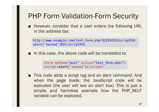### PHP Form Validation-Form Security

■ However, consider that a user enters the following URL in the address bar:

http://www.example.com/test\_form.php/%22%3E%3Cscript%3E alert('hacked')%3C/script%3E

■ In this case, the above code will be translated to:

```
<form method="post" action="test_form.php/">
<script>alert('hacked')</script>
```
■ This code adds a script tag and an alert command. And when the page loads, the JavaScript code will be executed (the user will see an alert box). This is just a simple and harmless example how the PHP\_SELF variable can be exploited.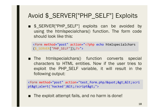### Avoid \$\_SERVER["PHP\_SELF"] Exploits

■ \$\_SERVER["PHP\_SELF"] exploits can be avoided by using the htmlspecialchars() function. The form code should look like this:

```
<form method="post" action="<?php echo htmlspecialchars
($_SERVER["PHP_SELF"]);?>">
```
■ The htmlspecialchars() function converts special characters to HTML entities. Now if the user tries to exploit the PHP\_SELF variable, it will result in the following output:

<form method="post" action="test\_form.php/&quot;&gt;&lt;scri pt>alert('hacked')</script&gt;">

■ The exploit attempt fails, and no harm is done!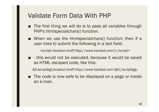- The first thing we will do is to pass all variables through PHP's htmlspecialchars() function.
- When we use the htmlspecialchars() function; then if a user tries to submit the following in a text field:

<script>location.href('http://www.hacked.com')</script>

■ - this would not be executed, because it would be saved as HTML escaped code, like this:

&It;script>location.href('http://www.hacked.com')&It;/script>

■ The code is now safe to be displayed on a page or inside an e-mail.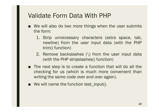- We will also do two more things when the user submits the form:
	- 1. Strip unnecessary characters (extra space, tab, newline) from the user input data (with the PHP trim() function)
	- 2. Remove backslashes (\) from the user input data (with the PHP stripslashes() function)
- The next step is to create a function that will do all the checking for us (which is much more convenient than writing the same code over and over again).
- We will name the function test\_input().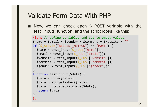■ Now, we can check each \$\_POST variable with the test\_input() function, and the script looks like this:

```
<?php // define variables and set to empty values
$name = $email = $gender = $comment = $website = ";
if ($ SERVER["REQUEST METHOD"] == "POST") {
 $name = test input($ POST["name"]);
 $email = test_input($_POST["email"]);
 $website = test_input($ POST["website"]);
 $comment = test input($ POST['comment"]);
 $gender = test_input($_POST["gender"]);
}
function test input($data) {
 $data = trim($data);
 $data = stripslashes($data);
 $data = htmlspecialchars($data);
 return $data;
}
?>
```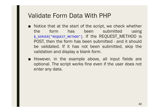- Notice that at the start of the script, we check whether the form has been submitted using \$\_SERVER["REQUEST\_METHOD"]. If the REQUEST\_METHOD is POST, then the form has been submitted - and it should be validated. If it has not been submitted, skip the validation and display a blank form.
- However, in the example above, all input fields are optional. The script works fine even if the user does not enter any data.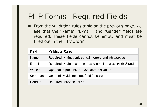■ From the validation rules table on the previous page, we see that the "Name", "E-mail", and "Gender" fields are required. These fields cannot be empty and must be filled out in the HTML form.

| <b>Field</b> | <b>Validation Rules</b>                                           |
|--------------|-------------------------------------------------------------------|
| <b>Name</b>  | Required. + Must only contain letters and whitespace              |
| E-mail       | Required. $+$ Must contain a valid email address (with $@$ and .) |
| Website      | Optional. If present, it must contain a valid URL                 |
| Comment      | Optional. Multi-line input field (textarea)                       |
| Gender       | Required. Must select one                                         |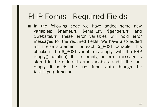■ In the following code we have added some new variables: \$nameErr, \$emailErr, \$genderErr, and \$websiteErr. These error variables will hold error messages for the required fields. We have also added an if else statement for each \$\_POST variable. This checks if the \$\_POST variable is empty (with the PHP empty() function). If it is empty, an error message is stored in the different error variables, and if it is not empty, it sends the user input data through the test\_input() function: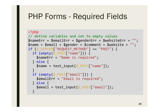```
<?php
// define variables and set to empty values
$nameErr = $emailErr = $genderErr = $websiteErr =
"";
$name = $email = $gender = $comment = $website = "";
if ( $ 5 SERVER["REQUEST_METHOD"] == "POST") {
  if (empty($_POST["name"])) {
    $nameErr = "Name is required";
  } else {
    $name = test input($ POST["name"]);
  }
  if (empty($_POST["email"])) {
    $emailErr = "Email is required";
  } else {
    $email = test\_input({$ POST['email"];
  }
```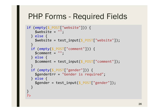```
if (empty($ POST["website"])) {
   $website = "";
  } else {
    $website = test input($ POST["website"]);
  }
  if (empty($_POST["comment"])) {
    $comment = "";} else {
    $comment = test_input($_POST["comment"]);
  }
  if (empty($_POST["gender"])) {
    $genderErr = "Gender is required";
  } else {
    $gender = test input($POST['gender"]);}
}
?>
```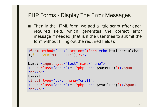#### PHP Forms - Display The Error Messages

■ Then in the HTML form, we add a little script after each required field, which generates the correct error message if needed (that is if the user tries to submit the form without filling out the required fields):

```
<form method="post" action="<?php echo htmlspecialchar
s($_SERVER["PHP_SELF"]);?>">
```

```
Name: <input type="text" name="name">
<span class="error">* <?php echo $nameErr;?></span>
<br><br>
E-mail:
<input type="text" name="email">
<span class="error">* <?php echo $emailErr;?></span>
<br><br>
```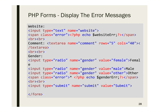#### PHP Forms - Display The Error Messages

```
Website:
<input type="text" name="website">
<span class="error"><?php echo $websiteErr;?></span>
<hr><hr>
Comment: <textarea name="comment" rows="5" cols="40"><
/textarea>
<hr><hr>
Gender:
<input type="radio" name="gender" value="female">Femal
e
<input type="radio" name="gender" value="male">Male
<input type="radio" name="gender" value="other">Other
<span class="error">* <?php echo $genderErr;?></span>
<hr><hr>
<input type="submit" name="submit" value="Submit">
```
</form>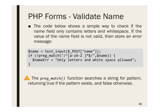### PHP Forms - Validate Name

■ The code below shows a simple way to check if the name field only contains letters and whitespace. If the value of the name field is not valid, then store an error message:

```
$name = test_input($_POST["name"]);
if (!preg_match("/^[a-zA-Z ]*$/",$name)) {
  $nameErr = "Only letters and white space allowed";
}
```
The *preg match()* function searches a string for pattern, returning true if the pattern exists, and false otherwise.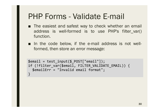# PHP Forms - Validate E-mail

- The easiest and safest way to check whether an email address is well-formed is to use PHP's filter\_var() function.
- In the code below, if the e-mail address is not wellformed, then store an error message:

```
$email = test_input($_POST["email"]);
if (!filter_var($email, FILTER_VALIDATE_EMAIL)) {
  $emailErr = "Invalid email format";
}
```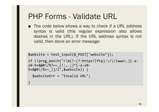# PHP Forms - Validate URL

■ The code below shows a way to check if a URL address syntax is valid (this regular expression also allows dashes in the URL). If the URL address syntax is not valid, then store an error message:

```
$website = test_input($_POST["website"]);
if (!preg_match("/\b(?:(?:https?|ftp):\/\/|www\.)[-a-
z0-9+&@#\/%?=~_|!:,.;]*[-a-z0-
9+&@#\/%=~_|]/i",$website)) {
  $websiteErr = "Invalid URL";
```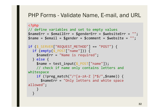```
<?php
// define variables and set to empty values
$nameErr = $emailErr = $genderErr = $websiteErr =
"";
$name = $email = $gender = $comment = $website = ";
if ( $ 5 SERVER["REQUEST_METHOD"] == "POST") {
  if (empty($_POST["name"])) {
    $nameErr = "Name is required";
  } else {
    $name = test input($ POST["name"]);
    // check if name only contains letters and 
whitespace
    if (!preg_match("/^[a-zA-Z ]*$/",$name)) {
      $nameErr = "Only letters and white space 
allowed";
    }
  }
```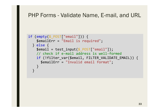```
if (empty($_POST["email"])) {
   $emailErr = "Email is required";
  } else {
   $email = test input($POST["email"]);// check if e-mail address is well-formed
    if (!filter_var($email, FILTER_VALIDATE_EMAIL)) {
     $emailErr = "Invalid email format";
    }
  }
```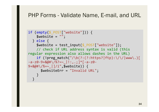```
if (empty($_POST["website"])) {
    $website = "";} else {
    $website = test_input($_POST["website"]);
    // check if URL address syntax is valid (this 
regular expression also allows dashes in the URL)
    if (!preg_match("/\b(?:(?:https?|ftp):\/\/|www\.)[
-a-z0-9+&@~\#\\/%?=-\quad | :,.;]*[-a-z0-
9+&@#\/%=~_|]/i",$website)) {
      $websiteErr = "Invalid URL";
    }
  }
```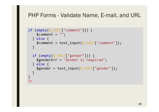```
if (empty($_POST["comment"])) {
   $comment = "";} else {
    $comment = test_input($_POST["comment"]);
  }
  if (empty($ POST["gender"])) {
    $genderErr = "Gender is required";
  } else {
    $gender = test_input($_POST["gender"]);
  }
}
?>
```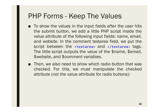### PHP Forms - Keep The Values

- To show the values in the input fields after the user hits the submit button, we add a little PHP script inside the value attribute of the following input fields: name, email, and website. In the comment textarea field, we put the script between the <textarea> and </textarea> tags. The little script outputs the value of the \$name, \$email, \$website, and \$comment variables.
- Then, we also need to show which radio button that was checked. For this, we must manipulate the checked attribute (not the value attribute for radio buttons):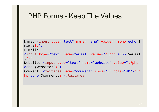### PHP Forms - Keep The Values

```
Name: <input type="text" name="name" value="<?php echo $
name; ? > " >
E-mail: 
<input type="text" name="email" value="<?php echo $email
;?>">
Website: <input type="text" name="website" value="<?php
echo $website;?>">
Comment: <textarea name="comment" rows="5" cols="40"><?p
hp echo $comment;?></textarea>
```